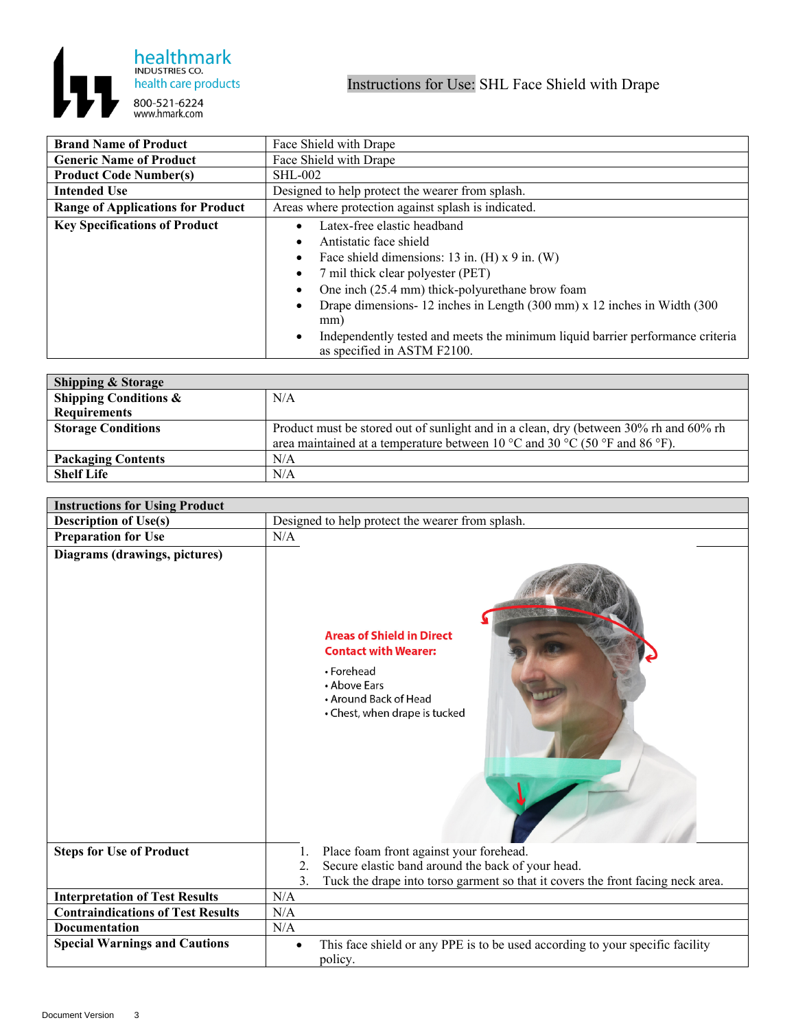

| <b>Brand Name of Product</b>             | Face Shield with Drape                                                                                                                                                                                                                                                                                                                                                                               |
|------------------------------------------|------------------------------------------------------------------------------------------------------------------------------------------------------------------------------------------------------------------------------------------------------------------------------------------------------------------------------------------------------------------------------------------------------|
| <b>Generic Name of Product</b>           | Face Shield with Drape                                                                                                                                                                                                                                                                                                                                                                               |
| <b>Product Code Number(s)</b>            | <b>SHL-002</b>                                                                                                                                                                                                                                                                                                                                                                                       |
| <b>Intended Use</b>                      | Designed to help protect the wearer from splash.                                                                                                                                                                                                                                                                                                                                                     |
| <b>Range of Applications for Product</b> | Areas where protection against splash is indicated.                                                                                                                                                                                                                                                                                                                                                  |
| <b>Key Specifications of Product</b>     | Latex-free elastic headband<br>Antistatic face shield<br>Face shield dimensions: 13 in. (H) $x$ 9 in. (W)<br>7 mil thick clear polyester (PET)<br>One inch (25.4 mm) thick-polyurethane brow foam<br>Drape dimensions-12 inches in Length (300 mm) x 12 inches in Width (300<br>mm)<br>Independently tested and meets the minimum liquid barrier performance criteria<br>as specified in ASTM F2100. |

| <b>Shipping &amp; Storage</b> |                                                                                       |
|-------------------------------|---------------------------------------------------------------------------------------|
| Shipping Conditions $\&$      | N/A                                                                                   |
| <b>Requirements</b>           |                                                                                       |
| <b>Storage Conditions</b>     | Product must be stored out of sunlight and in a clean, dry (between 30% rh and 60% rh |
|                               | area maintained at a temperature between 10 °C and 30 °C (50 °F and 86 °F).           |
| <b>Packaging Contents</b>     | N/A                                                                                   |
| <b>Shelf Life</b>             | N/A                                                                                   |

| <b>Instructions for Using Product</b>    |                                                                                                                                                         |  |
|------------------------------------------|---------------------------------------------------------------------------------------------------------------------------------------------------------|--|
| <b>Description of Use(s)</b>             | Designed to help protect the wearer from splash.                                                                                                        |  |
| <b>Preparation for Use</b>               | N/A                                                                                                                                                     |  |
| Diagrams (drawings, pictures)            | <b>Areas of Shield in Direct</b><br><b>Contact with Wearer:</b><br>• Forehead<br>• Above Ears<br>• Around Back of Head<br>• Chest, when drape is tucked |  |
| <b>Steps for Use of Product</b>          | Place foam front against your forehead.<br>1.                                                                                                           |  |
|                                          | Secure elastic band around the back of your head.<br>2.<br>3.<br>Tuck the drape into torso garment so that it covers the front facing neck area.        |  |
| <b>Interpretation of Test Results</b>    | N/A                                                                                                                                                     |  |
| <b>Contraindications of Test Results</b> | N/A                                                                                                                                                     |  |
| <b>Documentation</b>                     | N/A                                                                                                                                                     |  |
| <b>Special Warnings and Cautions</b>     | This face shield or any PPE is to be used according to your specific facility<br>$\bullet$<br>policy.                                                   |  |